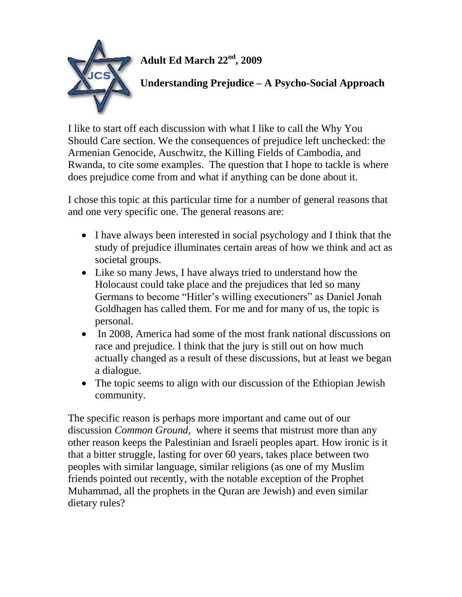

**Adult Ed March 22nd, 2009**

# **Understanding Prejudice – A Psycho-Social Approach**

I like to start off each discussion with what I like to call the Why You Should Care section. We the consequences of prejudice left unchecked: the Armenian Genocide, Auschwitz, the Killing Fields of Cambodia, and Rwanda, to cite some examples. The question that I hope to tackle is where does prejudice come from and what if anything can be done about it.

I chose this topic at this particular time for a number of general reasons that and one very specific one. The general reasons are:

- I have always been interested in social psychology and I think that the study of prejudice illuminates certain areas of how we think and act as societal groups.
- Like so many Jews, I have always tried to understand how the Holocaust could take place and the prejudices that led so many Germans to become "Hitler's willing executioners" as Daniel Jonah Goldhagen has called them. For me and for many of us, the topic is personal.
- In 2008, America had some of the most frank national discussions on race and prejudice. I think that the jury is still out on how much actually changed as a result of these discussions, but at least we began a dialogue.
- The topic seems to align with our discussion of the Ethiopian Jewish community.

The specific reason is perhaps more important and came out of our discussion *Common Ground*, where it seems that mistrust more than any other reason keeps the Palestinian and Israeli peoples apart. How ironic is it that a bitter struggle, lasting for over 60 years, takes place between two peoples with similar language, similar religions (as one of my Muslim friends pointed out recently, with the notable exception of the Prophet Muhammad, all the prophets in the Quran are Jewish) and even similar dietary rules?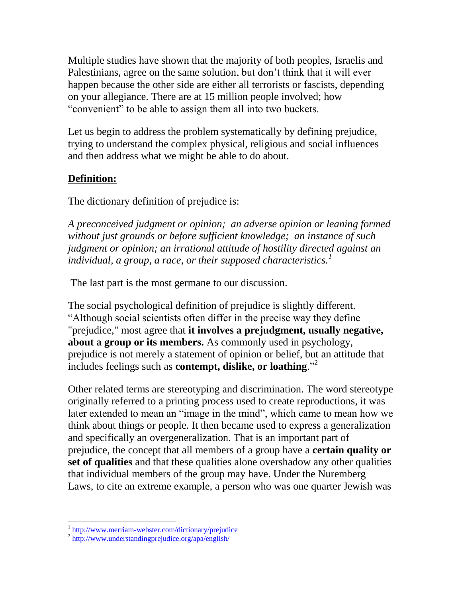Multiple studies have shown that the majority of both peoples, Israelis and Palestinians, agree on the same solution, but don't think that it will ever happen because the other side are either all terrorists or fascists, depending on your allegiance. There are at 15 million people involved; how "convenient" to be able to assign them all into two buckets.

Let us begin to address the problem systematically by defining prejudice, trying to understand the complex physical, religious and social influences and then address what we might be able to do about.

## **Definition:**

The dictionary definition of prejudice is:

*A preconceived judgment or opinion; an adverse opinion or leaning formed without just grounds or before sufficient knowledge; an instance of such judgment or opinion; an irrational attitude of hostility directed against an individual, a group, a race, or their supposed characteristics.<sup>1</sup>*

The last part is the most germane to our discussion.

The social psychological definition of prejudice is slightly different. "Although social scientists often differ in the precise way they define "prejudice," most agree that **it involves a prejudgment, usually negative, about a group or its members.** As commonly used in psychology, prejudice is not merely a statement of opinion or belief, but an attitude that includes feelings such as **contempt, dislike, or loathing**."<sup>2</sup>

Other related terms are stereotyping and discrimination. The word stereotype originally referred to a printing process used to create reproductions, it was later extended to mean an "image in the mind", which came to mean how we think about things or people. It then became used to express a generalization and specifically an overgeneralization. That is an important part of prejudice, the concept that all members of a group have a **certain quality or set of qualities** and that these qualities alone overshadow any other qualities that individual members of the group may have. Under the Nuremberg Laws, to cite an extreme example, a person who was one quarter Jewish was

<sup>&</sup>lt;sup>1</sup> <http://www.merriam-webster.com/dictionary/prejudice>

<sup>&</sup>lt;sup>2</sup> <http://www.understandingprejudice.org/apa/english/>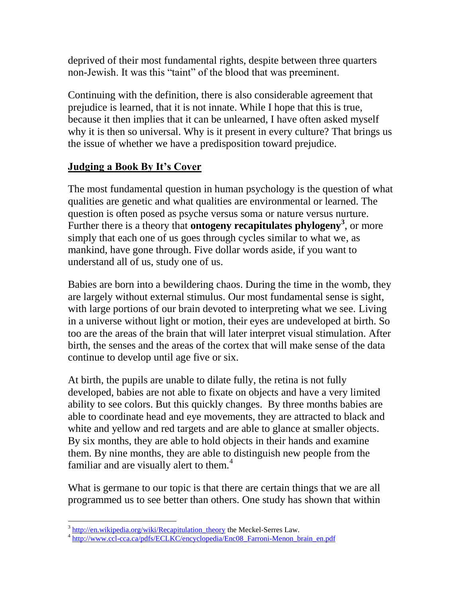deprived of their most fundamental rights, despite between three quarters non-Jewish. It was this "taint" of the blood that was preeminent.

Continuing with the definition, there is also considerable agreement that prejudice is learned, that it is not innate. While I hope that this is true, because it then implies that it can be unlearned, I have often asked myself why it is then so universal. Why is it present in every culture? That brings us the issue of whether we have a predisposition toward prejudice.

# **Judging a Book By It's Cover**

The most fundamental question in human psychology is the question of what qualities are genetic and what qualities are environmental or learned. The question is often posed as psyche versus soma or nature versus nurture. Further there is a theory that **ontogeny recapitulates phylogeny<sup>3</sup>** , or more simply that each one of us goes through cycles similar to what we, as mankind, have gone through. Five dollar words aside, if you want to understand all of us, study one of us.

Babies are born into a bewildering chaos. During the time in the womb, they are largely without external stimulus. Our most fundamental sense is sight, with large portions of our brain devoted to interpreting what we see. Living in a universe without light or motion, their eyes are undeveloped at birth. So too are the areas of the brain that will later interpret visual stimulation. After birth, the senses and the areas of the cortex that will make sense of the data continue to develop until age five or six.

At birth, the pupils are unable to dilate fully, the retina is not fully developed, babies are not able to fixate on objects and have a very limited ability to see colors. But this quickly changes. By three months babies are able to coordinate head and eye movements, they are attracted to black and white and yellow and red targets and are able to glance at smaller objects. By six months, they are able to hold objects in their hands and examine them. By nine months, they are able to distinguish new people from the familiar and are visually alert to them.<sup>4</sup>

What is germane to our topic is that there are certain things that we are all programmed us to see better than others. One study has shown that within

<sup>&</sup>lt;sup>3</sup> http://en.wikipedia.org/wiki/Recapitulation theory the Meckel-Serres Law.

<sup>&</sup>lt;sup>4</sup> [http://www.ccl-cca.ca/pdfs/ECLKC/encyclopedia/Enc08\\_Farroni-Menon\\_brain\\_en.pdf](http://www.ccl-cca.ca/pdfs/ECLKC/encyclopedia/Enc08_Farroni-Menon_brain_en.pdf)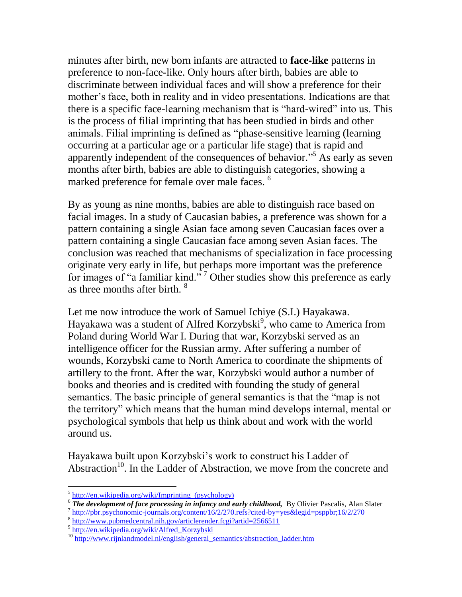minutes after birth, new born infants are attracted to **face-like** patterns in preference to non-face-like. Only hours after birth, babies are able to discriminate between individual faces and will show a preference for their mother's face, both in reality and in video presentations. Indications are that there is a specific face-learning mechanism that is "hard-wired" into us. This is the process of filial imprinting that has been studied in birds and other animals. Filial imprinting is defined as "phase-sensitive learning (learning occurring at a particular age or a particular life stage) that is rapid and apparently independent of the consequences of behavior." <sup>5</sup> As early as seven months after birth, babies are able to distinguish categories, showing a marked preference for female over male faces.<sup>6</sup>

By as young as nine months, babies are able to distinguish race based on facial images. In a study of Caucasian babies, a preference was shown for a pattern containing a single Asian face among seven Caucasian faces over a pattern containing a single Caucasian face among seven Asian faces. The conclusion was reached that mechanisms of specialization in face processing originate very early in life, but perhaps more important was the preference for images of "a familiar kind." <sup>7</sup> Other studies show this preference as early as three months after birth. <sup>8</sup>

Let me now introduce the work of Samuel Ichiye (S.I.) Hayakawa. Hayakawa was a student of Alfred Korzybski<sup>9</sup>, who came to America from Poland during World War I. During that war, Korzybski served as an intelligence officer for the Russian army. After suffering a number of wounds, Korzybski came to North America to coordinate the shipments of artillery to the front. After the war, Korzybski would author a number of books and theories and is credited with founding the study of general semantics. The basic principle of general semantics is that the "map is not the territory" which means that the human mind develops internal, mental or psychological symbols that help us think about and work with the world around us.

Hayakawa built upon Korzybski's work to construct his Ladder of Abstraction<sup>10</sup>. In the Ladder of Abstraction, we move from the concrete and

<sup>&</sup>lt;sup>5</sup> [http://en.wikipedia.org/wiki/Imprinting\\_\(psychology\)](http://en.wikipedia.org/wiki/Imprinting_(psychology))

<sup>&</sup>lt;sup>6</sup> The development of face processing in infancy and early childhood, By Olivier Pascalis, Alan Slater

<sup>&</sup>lt;sup>7</sup> <http://pbr.psychonomic-journals.org/content/16/2/270.refs?cited-by=yes&legid=psppbr;16/2/270>

<sup>8</sup> <http://www.pubmedcentral.nih.gov/articlerender.fcgi?artid=2566511>

<sup>&</sup>lt;sup>9</sup> http://en.wikipedia.org/wiki/Alfred Korzybski

<sup>&</sup>lt;sup>10</sup> [http://www.rijnlandmodel.nl/english/general\\_semantics/abstraction\\_ladder.htm](http://www.rijnlandmodel.nl/english/general_semantics/abstraction_ladder.htm)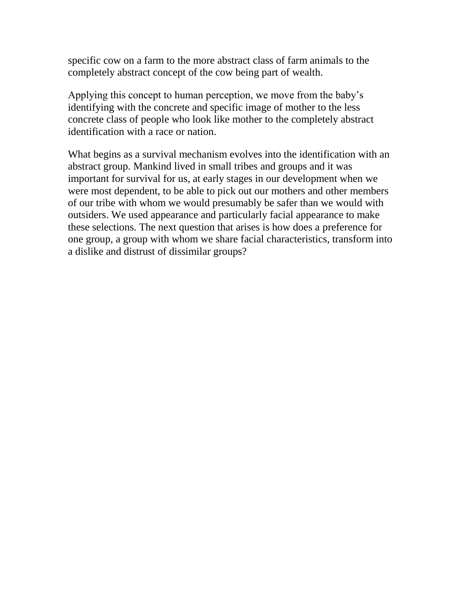specific cow on a farm to the more abstract class of farm animals to the completely abstract concept of the cow being part of wealth.

Applying this concept to human perception, we move from the baby's identifying with the concrete and specific image of mother to the less concrete class of people who look like mother to the completely abstract identification with a race or nation.

What begins as a survival mechanism evolves into the identification with an abstract group. Mankind lived in small tribes and groups and it was important for survival for us, at early stages in our development when we were most dependent, to be able to pick out our mothers and other members of our tribe with whom we would presumably be safer than we would with outsiders. We used appearance and particularly facial appearance to make these selections. The next question that arises is how does a preference for one group, a group with whom we share facial characteristics, transform into a dislike and distrust of dissimilar groups?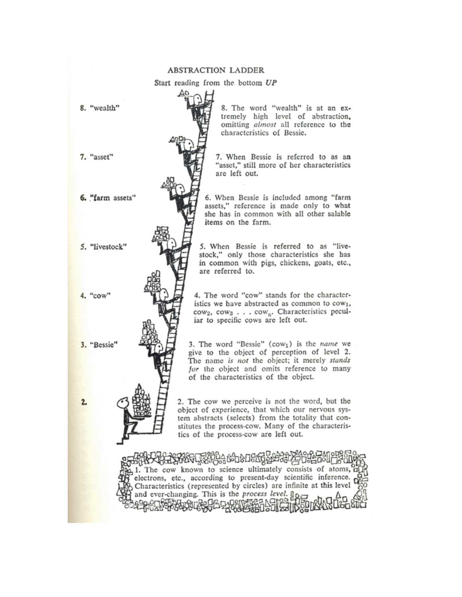#### **ABSTRACTION LADDER**

Start reading from the bottom UP

8. "wealth"

7. "asset"

6. "farm assets"

5. "livestock"

4. "cow"

3. "Bessie"

 $2.$ 

8. The word "wealth" is at an extremely high level of abstraction, omitting almost all reference to the characteristics of Bessie.

7. When Bessie is referred to as an "asset," still more of her characteristics are left out.

6. When Bessie is included among "farm assets," reference is made only to what she has in common with all other salable items on the farm.

5. When Bessie is referred to as "livestock," only those characteristics she has in common with pigs, chickens, goats, etc., are referred to.

4. The word "cow" stands for the characteristics we have abstracted as common to cow<sub>1</sub>, cow<sub>2</sub>, cow<sub>3</sub> . . . cow<sub>n</sub>. Characteristics peculiar to specific cows are left out.

3. The word "Bessie" (cow<sub>1</sub>) is the name we give to the object of perception of level 2. The name is not the object; it merely stands for the object and omits reference to many of the characteristics of the object.

2. The cow we perceive is not the word, but the object of experience, that which our nervous system abstracts (selects) from the totality that constitutes the process-cow. Many of the characteristics of the process-cow are left out.

පියි ස්වේ සිද් 1. The cow known to science ultimately consists of atoms, d electrons, etc., according to present-day scientific inference. Characteristics (represented by circles) are infinite at this level and ever-changing. This is the process level. Be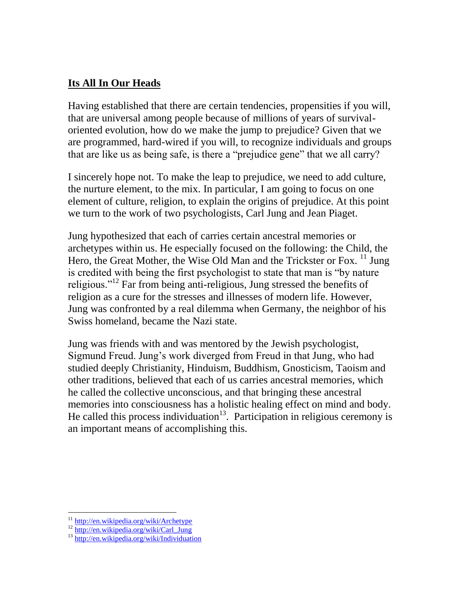### **Its All In Our Heads**

Having established that there are certain tendencies, propensities if you will, that are universal among people because of millions of years of survivaloriented evolution, how do we make the jump to prejudice? Given that we are programmed, hard-wired if you will, to recognize individuals and groups that are like us as being safe, is there a "prejudice gene" that we all carry?

I sincerely hope not. To make the leap to prejudice, we need to add culture, the nurture element, to the mix. In particular, I am going to focus on one element of culture, religion, to explain the origins of prejudice. At this point we turn to the work of two psychologists, Carl Jung and Jean Piaget.

Jung hypothesized that each of carries certain ancestral memories or archetypes within us. He especially focused on the following: the Child, the Hero, the Great Mother, the Wise Old Man and the Trickster or Fox. <sup>11</sup> Jung is credited with being the first psychologist to state that man is "by nature religious."<sup>12</sup> Far from being anti-religious, Jung stressed the benefits of religion as a cure for the stresses and illnesses of modern life. However, Jung was confronted by a real dilemma when Germany, the neighbor of his Swiss homeland, became the Nazi state.

Jung was friends with and was mentored by the Jewish psychologist, Sigmund Freud. Jung's work diverged from Freud in that Jung, who had studied deeply Christianity, Hinduism, Buddhism, Gnosticism, Taoism and other traditions, believed that each of us carries ancestral memories, which he called the collective unconscious, and that bringing these ancestral memories into consciousness has a holistic healing effect on mind and body. He called this process individuation<sup>13</sup>. Participation in religious ceremony is an important means of accomplishing this.

<sup>&</sup>lt;sup>11</sup> <http://en.wikipedia.org/wiki/Archetype>

<sup>&</sup>lt;sup>12</sup> [http://en.wikipedia.org/wiki/Carl\\_Jung](http://en.wikipedia.org/wiki/Carl_Jung)

<sup>13</sup> <http://en.wikipedia.org/wiki/Individuation>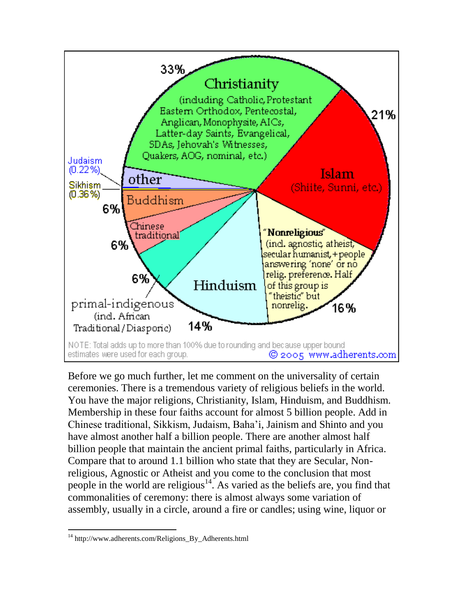

Before we go much further, let me comment on the universality of certain ceremonies. There is a tremendous variety of religious beliefs in the world. You have the major religions, Christianity, Islam, Hinduism, and Buddhism. Membership in these four faiths account for almost 5 billion people. Add in Chinese traditional, Sikkism, Judaism, Baha'i, Jainism and Shinto and you have almost another half a billion people. There are another almost half billion people that maintain the ancient primal faiths, particularly in Africa. Compare that to around 1.1 billion who state that they are Secular, Nonreligious, Agnostic or Atheist and you come to the conclusion that most people in the world are religious<sup>14</sup>. As varied as the beliefs are, you find that commonalities of ceremony: there is almost always some variation of assembly, usually in a circle, around a fire or candles; using wine, liquor or

<sup>&</sup>lt;sup>14</sup> http://www.adherents.com/Religions\_By\_Adherents.html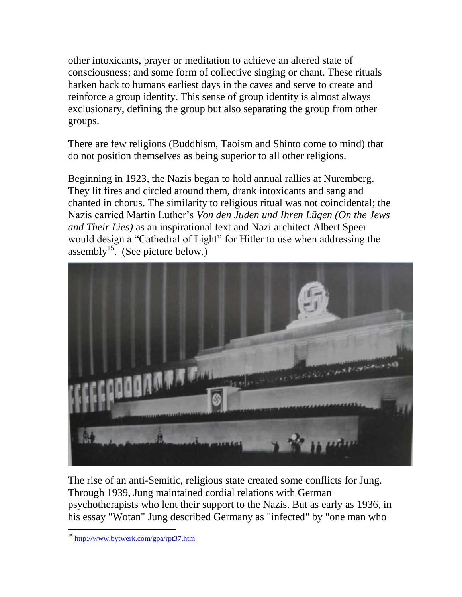other intoxicants, prayer or meditation to achieve an altered state of consciousness; and some form of collective singing or chant. These rituals harken back to humans earliest days in the caves and serve to create and reinforce a group identity. This sense of group identity is almost always exclusionary, defining the group but also separating the group from other groups.

There are few religions (Buddhism, Taoism and Shinto come to mind) that do not position themselves as being superior to all other religions.

Beginning in 1923, the Nazis began to hold annual rallies at Nuremberg. They lit fires and circled around them, drank intoxicants and sang and chanted in chorus. The similarity to religious ritual was not coincidental; the Nazis carried Martin Luther's *Von den Juden und Ihren Lügen (On the Jews and Their Lies)* as an inspirational text and Nazi architect Albert Speer would design a "Cathedral of Light" for Hitler to use when addressing the assembly<sup>15</sup>. (See picture below.)



The rise of an anti-Semitic, religious state created some conflicts for Jung. Through 1939, Jung maintained cordial relations with German psychotherapists who lent their support to the Nazis. But as early as 1936, in his essay "Wotan" Jung described Germany as "infected" by "one man who

 $\overline{a}$ <sup>15</sup> <http://www.bytwerk.com/gpa/rpt37.htm>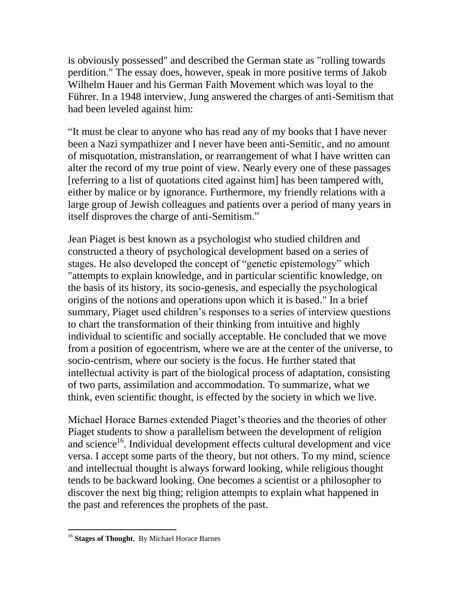is obviously possessed" and described the German state as "rolling towards perdition." The essay does, however, speak in more positive terms of Jakob Wilhelm Hauer and his German Faith Movement which was loyal to the Führer. In a 1948 interview, Jung answered the charges of anti-Semitism that had been leveled against him:

"It must be clear to anyone who has read any of my books that I have never been a Nazi sympathizer and I never have been anti-Semitic, and no amount of misquotation, mistranslation, or rearrangement of what I have written can alter the record of my true point of view. Nearly every one of these passages [referring to a list of quotations cited against him] has been tampered with, either by malice or by ignorance. Furthermore, my friendly relations with a large group of Jewish colleagues and patients over a period of many years in itself disproves the charge of anti-Semitism."

Jean Piaget is best known as a psychologist who studied children and constructed a theory of psychological development based on a series of stages. He also developed the concept of "genetic epistemology" which "attempts to explain knowledge, and in particular scientific knowledge, on the basis of its history, its socio-genesis, and especially the psychological origins of the notions and operations upon which it is based." In a brief summary, Piaget used children's responses to a series of interview questions to chart the transformation of their thinking from intuitive and highly individual to scientific and socially acceptable. He concluded that we move from a position of egocentrism, where we are at the center of the universe, to socio-centrism, where our society is the focus. He further stated that intellectual activity is part of the biological process of adaptation, consisting of two parts, assimilation and accommodation. To summarize, what we think, even scientific thought, is effected by the society in which we live.

Michael Horace Barnes extended Piaget's theories and the theories of other Piaget students to show a parallelism between the development of religion and science<sup>16</sup>. Individual development effects cultural development and vice versa. I accept some parts of the theory, but not others. To my mind, science and intellectual thought is always forward looking, while religious thought tends to be backward looking. One becomes a scientist or a philosopher to discover the next big thing; religion attempts to explain what happened in the past and references the prophets of the past.

<sup>16</sup> **Stages of Thought**, By Michael Horace Barnes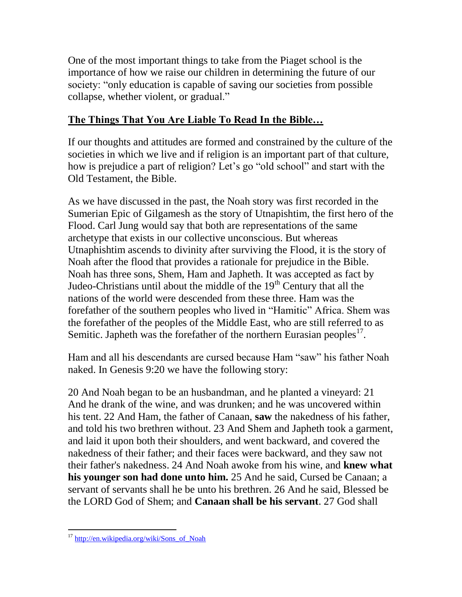One of the most important things to take from the Piaget school is the importance of how we raise our children in determining the future of our society: "only education is capable of saving our societies from possible collapse, whether violent, or gradual."

# **The Things That You Are Liable To Read In the Bible…**

If our thoughts and attitudes are formed and constrained by the culture of the societies in which we live and if religion is an important part of that culture, how is prejudice a part of religion? Let's go "old school" and start with the Old Testament, the Bible.

As we have discussed in the past, the Noah story was first recorded in the Sumerian Epic of Gilgamesh as the story of Utnapishtim, the first hero of the Flood. Carl Jung would say that both are representations of the same archetype that exists in our collective unconscious. But whereas Utnaphishtim ascends to divinity after surviving the Flood, it is the story of Noah after the flood that provides a rationale for prejudice in the Bible. Noah has three sons, Shem, Ham and Japheth. It was accepted as fact by Judeo-Christians until about the middle of the 19<sup>th</sup> Century that all the nations of the world were descended from these three. Ham was the forefather of the southern peoples who lived in "Hamitic" Africa. Shem was the forefather of the peoples of the Middle East, who are still referred to as Semitic. Japheth was the forefather of the northern Eurasian peoples $^{17}$ .

Ham and all his descendants are cursed because Ham "saw" his father Noah naked. In Genesis 9:20 we have the following story:

20 And Noah began to be an husbandman, and he planted a vineyard: 21 And he drank of the wine, and was drunken; and he was uncovered within his tent. 22 And Ham, the father of Canaan, **saw** the nakedness of his father, and told his two brethren without. 23 And Shem and Japheth took a garment, and laid it upon both their shoulders, and went backward, and covered the nakedness of their father; and their faces were backward, and they saw not their father's nakedness. 24 And Noah awoke from his wine, and **knew what his younger son had done unto him.** 25 And he said, Cursed be Canaan; a servant of servants shall he be unto his brethren. 26 And he said, Blessed be the LORD God of Shem; and **Canaan shall be his servant**. 27 God shall

<sup>&</sup>lt;sup>17</sup> [http://en.wikipedia.org/wiki/Sons\\_of\\_Noah](http://en.wikipedia.org/wiki/Sons_of_Noah)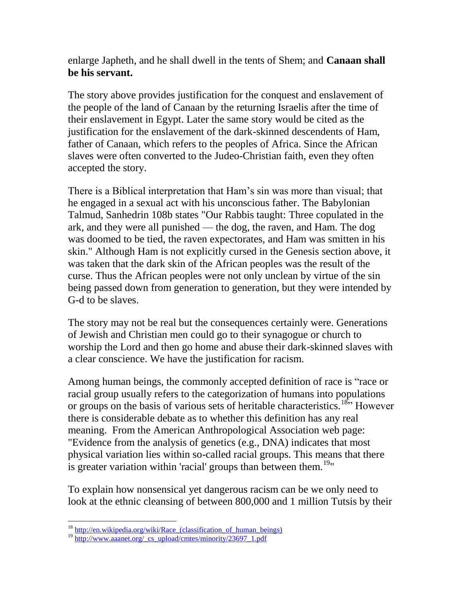enlarge Japheth, and he shall dwell in the tents of Shem; and **Canaan shall be his servant.** 

The story above provides justification for the conquest and enslavement of the people of the land of Canaan by the returning Israelis after the time of their enslavement in Egypt. Later the same story would be cited as the justification for the enslavement of the dark-skinned descendents of Ham, father of Canaan, which refers to the peoples of Africa. Since the African slaves were often converted to the Judeo-Christian faith, even they often accepted the story.

There is a Biblical interpretation that Ham's sin was more than visual; that he engaged in a sexual act with his unconscious father. The Babylonian Talmud, Sanhedrin 108b states "Our Rabbis taught: Three copulated in the ark, and they were all punished — the dog, the raven, and Ham. The dog was doomed to be tied, the raven expectorates, and Ham was smitten in his skin." Although Ham is not explicitly cursed in the Genesis section above, it was taken that the dark skin of the African peoples was the result of the curse. Thus the African peoples were not only unclean by virtue of the sin being passed down from generation to generation, but they were intended by G-d to be slaves.

The story may not be real but the consequences certainly were. Generations of Jewish and Christian men could go to their synagogue or church to worship the Lord and then go home and abuse their dark-skinned slaves with a clear conscience. We have the justification for racism.

Among human beings, the commonly accepted definition of race is "race or racial group usually refers to the categorization of humans into populations or groups on the basis of various sets of heritable characteristics.<sup>18</sup>" However there is considerable debate as to whether this definition has any real meaning. From the American Anthropological Association web page: "Evidence from the analysis of genetics (e.g., DNA) indicates that most physical variation lies within so-called racial groups. This means that there is greater variation within 'racial' groups than between them.<sup>19</sup>

To explain how nonsensical yet dangerous racism can be we only need to look at the ethnic cleansing of between 800,000 and 1 million Tutsis by their

 $\overline{a}$ <sup>18</sup> http://en.wikipedia.org/wiki/Race (classification of human beings)

<sup>&</sup>lt;sup>19</sup> [http://www.aaanet.org/\\_cs\\_upload/cmtes/minority/23697\\_1.pdf](http://www.aaanet.org/_cs_upload/cmtes/minority/23697_1.pdf)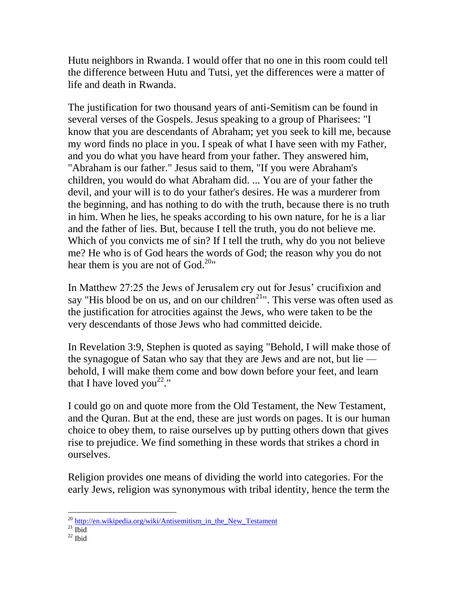Hutu neighbors in Rwanda. I would offer that no one in this room could tell the difference between Hutu and Tutsi, yet the differences were a matter of life and death in Rwanda.

The justification for two thousand years of anti-Semitism can be found in several verses of the Gospels. Jesus speaking to a group of Pharisees: "I know that you are descendants of Abraham; yet you seek to kill me, because my word finds no place in you. I speak of what I have seen with my Father, and you do what you have heard from your father. They answered him, "Abraham is our father." Jesus said to them, "If you were Abraham's children, you would do what Abraham did. ... You are of your father the devil, and your will is to do your father's desires. He was a murderer from the beginning, and has nothing to do with the truth, because there is no truth in him. When he lies, he speaks according to his own nature, for he is a liar and the father of lies. But, because I tell the truth, you do not believe me. Which of you convicts me of sin? If I tell the truth, why do you not believe me? He who is of God hears the words of God; the reason why you do not hear them is you are not of God.<sup>20"</sup>

In Matthew 27:25 the Jews of Jerusalem cry out for Jesus' crucifixion and say "His blood be on us, and on our children<sup>21</sup>". This verse was often used as the justification for atrocities against the Jews, who were taken to be the very descendants of those Jews who had committed deicide.

In Revelation 3:9, Stephen is quoted as saying "Behold, I will make those of the synagogue of Satan who say that they are Jews and are not, but lie behold, I will make them come and bow down before your feet, and learn that I have loved you<sup>22</sup>."

I could go on and quote more from the Old Testament, the New Testament, and the Quran. But at the end, these are just words on pages. It is our human choice to obey them, to raise ourselves up by putting others down that gives rise to prejudice. We find something in these words that strikes a chord in ourselves.

Religion provides one means of dividing the world into categories. For the early Jews, religion was synonymous with tribal identity, hence the term the

 $\overline{a}$ <sup>20</sup> [http://en.wikipedia.org/wiki/Antisemitism\\_in\\_the\\_New\\_Testament](http://en.wikipedia.org/wiki/Antisemitism_in_the_New_Testament)

 $^{21}$  Ibid

 $22$  Ibid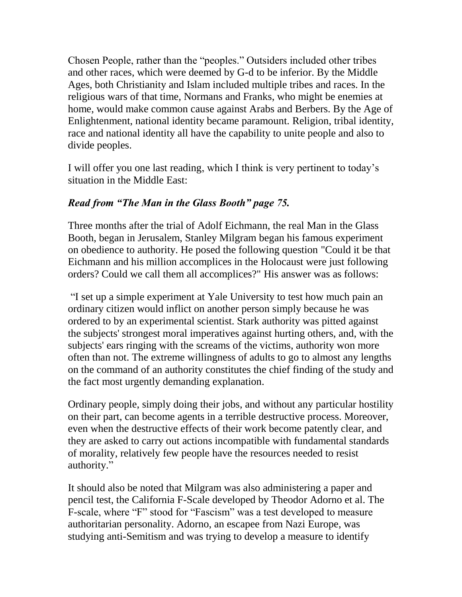Chosen People, rather than the "peoples." Outsiders included other tribes and other races, which were deemed by G-d to be inferior. By the Middle Ages, both Christianity and Islam included multiple tribes and races. In the religious wars of that time, Normans and Franks, who might be enemies at home, would make common cause against Arabs and Berbers. By the Age of Enlightenment, national identity became paramount. Religion, tribal identity, race and national identity all have the capability to unite people and also to divide peoples.

I will offer you one last reading, which I think is very pertinent to today's situation in the Middle East:

## *Read from "The Man in the Glass Booth" page 75.*

Three months after the trial of Adolf Eichmann, the real Man in the Glass Booth, began in Jerusalem, Stanley Milgram began his famous experiment on obedience to authority. He posed the following question "Could it be that Eichmann and his million accomplices in the Holocaust were just following orders? Could we call them all accomplices?" His answer was as follows:

"I set up a simple experiment at Yale University to test how much pain an ordinary citizen would inflict on another person simply because he was ordered to by an experimental scientist. Stark authority was pitted against the subjects' strongest moral imperatives against hurting others, and, with the subjects' ears ringing with the screams of the victims, authority won more often than not. The extreme willingness of adults to go to almost any lengths on the command of an authority constitutes the chief finding of the study and the fact most urgently demanding explanation.

Ordinary people, simply doing their jobs, and without any particular hostility on their part, can become agents in a terrible destructive process. Moreover, even when the destructive effects of their work become patently clear, and they are asked to carry out actions incompatible with fundamental standards of morality, relatively few people have the resources needed to resist authority."

It should also be noted that Milgram was also administering a paper and pencil test, the California F-Scale developed by Theodor Adorno et al. The F-scale, where "F" stood for "Fascism" was a test developed to measure authoritarian personality. Adorno, an escapee from Nazi Europe, was studying anti-Semitism and was trying to develop a measure to identify